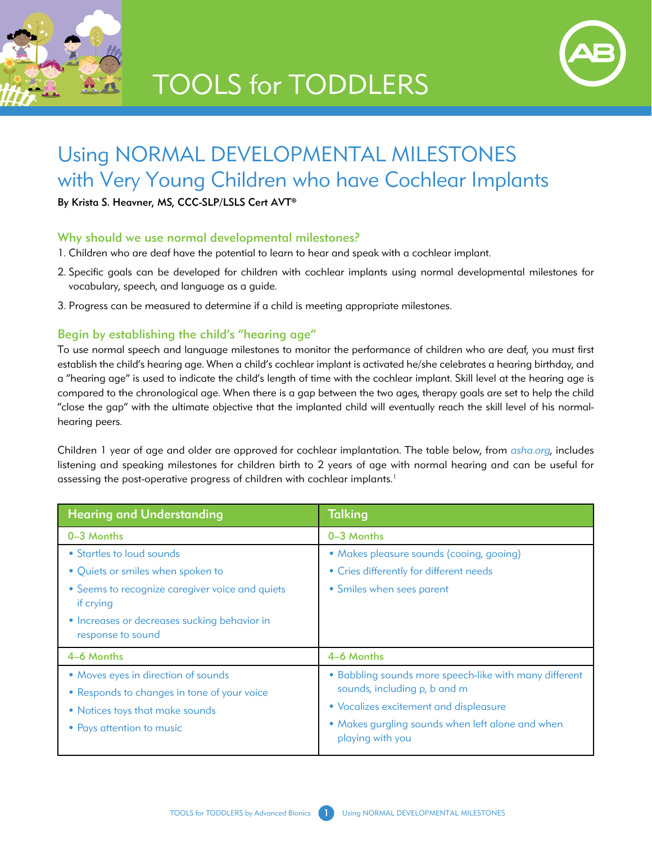

## **TOOLS for TODDLERS**



### Using Normal Developmental Milestones with Very Young Children who have Cochlear Implants

#### By Krista S. Heavner, MS, CCC-SLP/LSLS Cert AVT®

#### Why should we use normal developmental milestones?

- 1. Children who are deaf have the potential to learn to hear and speak with a cochlear implant.
- 2. Specific goals can be developed for children with cochlear implants using normal developmental milestones for vocabulary, speech, and language as a guide.
- 3. Progress can be measured to determine if a child is meeting appropriate milestones.

#### Begin by establishing the child's "hearing age"

To use normal speech and language milestones to monitor the performance of children who are deaf, you must first establish the child's hearing age. When a child's cochlear implant is activated he/she celebrates a hearing birthday, and a "hearing age" is used to indicate the child's length of time with the cochlear implant. Skill level at the hearing age is compared to the chronological age. When there is a gap between the two ages, therapy goals are set to help the child "close the gap" with the ultimate objective that the implanted child will eventually reach the skill level of his normalhearing peers.

Children 1 year of age and older are approved for cochlear implantation. The table below, from *asha.org*, includes listening and speaking milestones for children birth to 2 years of age with normal hearing and can be useful for assessing the post-operative progress of children with cochlear implants.<sup>1</sup>

| <b>Hearing and Understanding</b>                                  | <b>Talking</b>                                                                         |
|-------------------------------------------------------------------|----------------------------------------------------------------------------------------|
| 0-3 Months                                                        | 0-3 Months                                                                             |
| • Startles to loud sounds                                         | • Makes pleasure sounds (cooing, gooing)                                               |
| • Quiets or smiles when spoken to                                 | • Cries differently for different needs                                                |
| • Seems to recognize caregiver voice and quiets<br>if crying      | • Smiles when sees parent                                                              |
| • Increases or decreases sucking behavior in<br>response to sound |                                                                                        |
| 4–6 Months                                                        | 4–6 Months                                                                             |
| • Moves eyes in direction of sounds                               | • Babbling sounds more speech-like with many different<br>sounds, including p, b and m |
| • Responds to changes in tone of your voice                       |                                                                                        |
| • Notices toys that make sounds                                   | • Vocalizes excitement and displeasure                                                 |
| • Pays attention to music                                         | • Makes gurgling sounds when left alone and when<br>playing with you                   |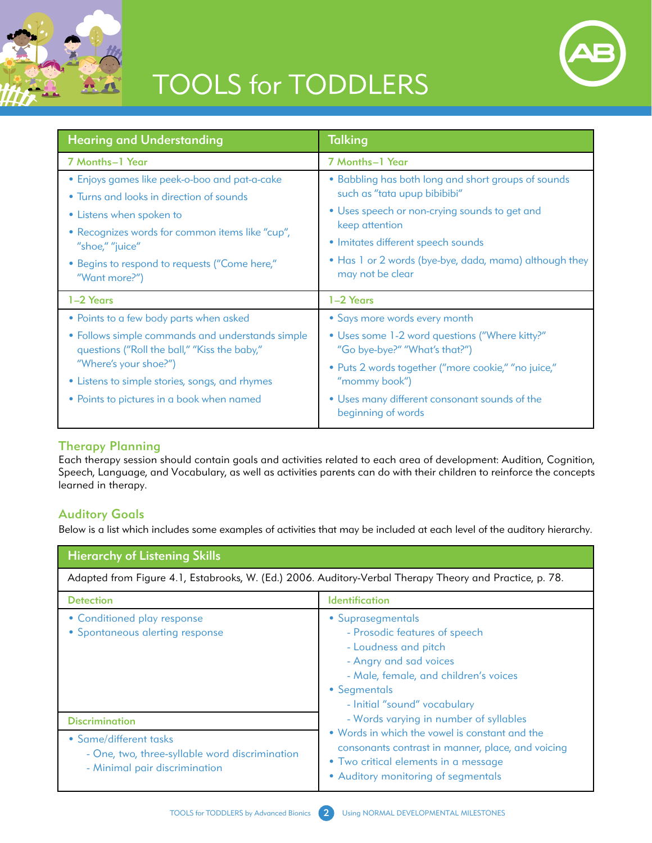

# **TOOLS for TODDLERS**



| <b>Hearing and Understanding</b>                                                                                                                                                                                                                              | <b>Talking</b>                                                                                                                                                                                                                                                             |
|---------------------------------------------------------------------------------------------------------------------------------------------------------------------------------------------------------------------------------------------------------------|----------------------------------------------------------------------------------------------------------------------------------------------------------------------------------------------------------------------------------------------------------------------------|
| 7 Months-1 Year                                                                                                                                                                                                                                               | 7 Months-1 Year                                                                                                                                                                                                                                                            |
| · Enjoys games like peek-o-boo and pat-a-cake<br>• Turns and looks in direction of sounds<br>• Listens when spoken to<br>• Recognizes words for common items like "cup",<br>"shoe," "juice"<br>• Begins to respond to requests ("Come here,"<br>"Want more?") | • Babbling has both long and short groups of sounds<br>such as "tata upup bibibibi"<br>• Uses speech or non-crying sounds to get and<br>keep attention<br>• Imitates different speech sounds<br>• Has 1 or 2 words (bye-bye, dada, mama) although they<br>may not be clear |
| 1-2 Years                                                                                                                                                                                                                                                     | 1-2 Years                                                                                                                                                                                                                                                                  |
| • Points to a few body parts when asked                                                                                                                                                                                                                       | • Says more words every month                                                                                                                                                                                                                                              |
| • Follows simple commands and understands simple<br>questions ("Roll the ball," "Kiss the baby,"<br>"Where's your shoe?")<br>• Listens to simple stories, songs, and rhymes                                                                                   | • Uses some 1-2 word questions ("Where kitty?"<br>"Go bye-bye?" "What's that?")<br>· Puts 2 words together ("more cookie," "no juice,"<br>"mommy book")                                                                                                                    |
| • Points to pictures in a book when named                                                                                                                                                                                                                     | • Uses many different consonant sounds of the<br>beginning of words                                                                                                                                                                                                        |

### Therapy Planning

Each therapy session should contain goals and activities related to each area of development: Audition, Cognition, Speech, Language, and Vocabulary, as well as activities parents can do with their children to reinforce the concepts learned in therapy.

### Auditory Goals

Below is a list which includes some examples of activities that may be included at each level of the auditory hierarchy.

| <b>Hierarchy of Listening Skills</b>                                                                      |                                                                                                                                                                                                                                                                                                                                                                                                                               |  |
|-----------------------------------------------------------------------------------------------------------|-------------------------------------------------------------------------------------------------------------------------------------------------------------------------------------------------------------------------------------------------------------------------------------------------------------------------------------------------------------------------------------------------------------------------------|--|
| Adapted from Figure 4.1, Estabrooks, W. (Ed.) 2006. Auditory-Verbal Therapy Theory and Practice, p. 78.   |                                                                                                                                                                                                                                                                                                                                                                                                                               |  |
| <b>Detection</b>                                                                                          | <b>Identification</b>                                                                                                                                                                                                                                                                                                                                                                                                         |  |
| • Conditioned play response<br>• Spontaneous alerting response                                            | • Suprasegmentals<br>- Prosodic features of speech<br>- Loudness and pitch<br>- Angry and sad voices<br>- Male, female, and children's voices<br>• Segmentals<br>- Initial "sound" vocabulary<br>- Words varying in number of syllables<br>• Words in which the vowel is constant and the<br>consonants contrast in manner, place, and voicing<br>• Two critical elements in a message<br>• Auditory monitoring of segmentals |  |
| <b>Discrimination</b>                                                                                     |                                                                                                                                                                                                                                                                                                                                                                                                                               |  |
| • Same/different tasks<br>- One, two, three-syllable word discrimination<br>- Minimal pair discrimination |                                                                                                                                                                                                                                                                                                                                                                                                                               |  |